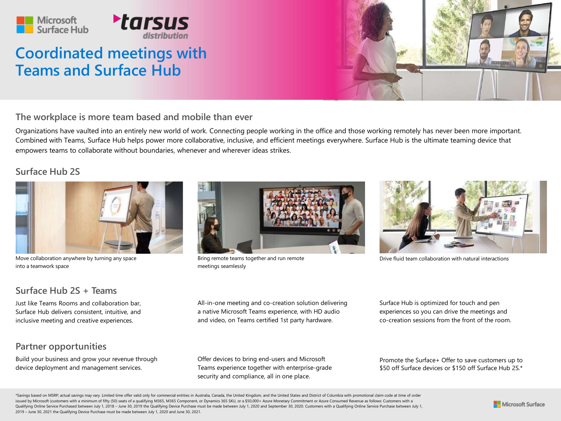

# **Coordinated meetings with Teams and Surface Hub**



**The workplace is more team based and mobile than ever**

Organizations have vaulted into an entirely new world of work. Connecting people working in the office and those working remotely has never been more important. Combined with Teams, Surface Hub helps power more collaborative, inclusive, and efficient meetings everywhere. Surface Hub is the ultimate teaming device that empowers teams to collaborate without boundaries, whenever and wherever ideas strikes.

#### **Surface Hub 2S**



Move collaboration anywhere by turning any space into a teamwork space

### **Surface Hub 2S + Teams**

Just like Teams Rooms and collaboration bar, Surface Hub delivers consistent, intuitive, and inclusive meeting and creative experiences.

#### **Partner opportunities**

Build your business and grow your revenue through device deployment and management services.



Bring remote teams together and run remote meetings seamlessly



Drive fluid team collaboration with natural interactions

All-in-one meeting and co-creation solution delivering a native Microsoft Teams experience, with HD audio and video, on Teams certified 1st party hardware.

Surface Hub is optimized for touch and pen experiences so you can drive the meetings and co-creation sessions from the front of the room.

Offer devices to bring end-users and Microsoft Teams experience together with enterprise-grade security and compliance, all in one place.

Promote the Surface+ Offer to save customers up to \$50 off Surface devices or \$150 off Surface Hub 2S.\*

\*Savings based on MSRP; actual savings may vary. Limited time offer valid only for commercial entities in Australia, Canada, the United Kingdom, and the United States and District of Columbia with promotional claim code at issued by Microsoft (customers with a minimum of fifty (50) seats of a qualifying M365, M365 Component, or Dynamics 365 SKU, or a \$50,000+ Azure Monetary Commitment or Azure Consumed Revenue as follows: Customers with a Qualifying Online Service Purchased between July 1, 2018 - June 30, 2019 the Qualifying Device Purchase must be made between July 1, 2020 and September 30, 2020. Customers with a Qualifying Online Service Purchase between 2019 – June 30, 2021 the Qualifying Device Purchase must be made between July 1, 2020 and June 30, 2021.